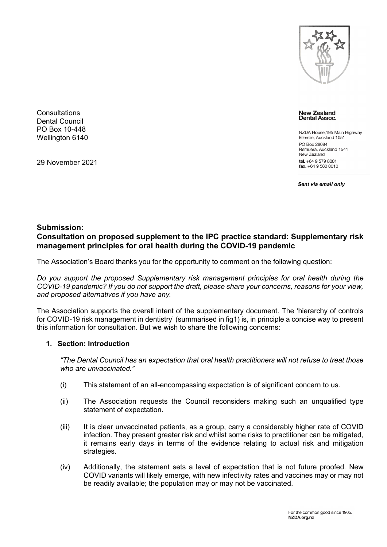

**Consultations** Dental Council PO Box 10-448 Wellington 6140

29 November 2021

**New Zealand** Dental Assoc.

NZDA House, 195 Main Highway Ellerslie, Auckland 1051 PO Box 28084 Remuera, Auckland 1541 New Zealand tel.  $+6495798001$  $\frac{1}{2}$  fax. +64 9 580 0010

*Sent via email only*

# **Submission: Consultation on proposed supplement to the IPC practice standard: Supplementary risk management principles for oral health during the COVID-19 pandemic**

The Association's Board thanks you for the opportunity to comment on the following question:

*Do you support the proposed Supplementary risk management principles for oral health during the COVID-19 pandemic? If you do not support the draft, please share your concerns, reasons for your view, and proposed alternatives if you have any.* 

The Association supports the overall intent of the supplementary document. The 'hierarchy of controls for COVID-19 risk management in dentistry' (summarised in fig1) is, in principle a concise way to present this information for consultation. But we wish to share the following concerns:

## **1. Section: Introduction**

*"The Dental Council has an expectation that oral health practitioners will not refuse to treat those who are unvaccinated."*

- (i) This statement of an all-encompassing expectation is of significant concern to us.
- (ii) The Association requests the Council reconsiders making such an unqualified type statement of expectation.
- (iii) It is clear unvaccinated patients, as a group, carry a considerably higher rate of COVID infection. They present greater risk and whilst some risks to practitioner can be mitigated, it remains early days in terms of the evidence relating to actual risk and mitigation strategies.
- (iv) Additionally, the statement sets a level of expectation that is not future proofed. New COVID variants will likely emerge, with new infectivity rates and vaccines may or may not be readily available; the population may or may not be vaccinated.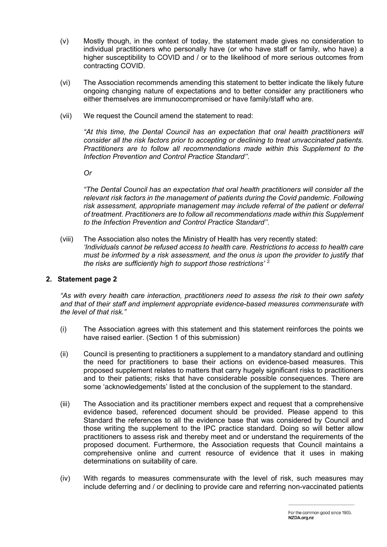- (v) Mostly though, in the context of today, the statement made gives no consideration to individual practitioners who personally have (or who have staff or family, who have) a higher susceptibility to COVID and / or to the likelihood of more serious outcomes from contracting COVID.
- (vi) The Association recommends amending this statement to better indicate the likely future ongoing changing nature of expectations and to better consider any practitioners who either themselves are immunocompromised or have family/staff who are.
- (vii) We request the Council amend the statement to read:

*"At this time, the Dental Council has an expectation that oral health practitioners will consider all the risk factors prior to accepting or declining to treat unvaccinated patients. Practitioners are to follow all recommendations made within this Supplement to the Infection Prevention and Control Practice Standard''.*

*Or*

*"The Dental Council has an expectation that oral health practitioners will consider all the relevant risk factors in the management of patients during the Covid pandemic. Following risk assessment, appropriate management may include referral of the patient or deferral of treatment. Practitioners are to follow all recommendations made within this Supplement to the Infection Prevention and Control Practice Standard''.*

(viii) The Association also notes the Ministry of Health has very recently stated: *'Individuals cannot be refused access to health care. Restrictions to access to health care must be informed by a risk assessment, and the onus is upon the provider to justify that the risks are sufficiently high to support those restrictions' 2.*

## **2. Statement page 2**

*"As with every health care interaction, practitioners need to assess the risk to their own safety and that of their staff and implement appropriate evidence-based measures commensurate with the level of that risk."*

- (i) The Association agrees with this statement and this statement reinforces the points we have raised earlier. (Section 1 of this submission)
- (ii) Council is presenting to practitioners a supplement to a mandatory standard and outlining the need for practitioners to base their actions on evidence-based measures. This proposed supplement relates to matters that carry hugely significant risks to practitioners and to their patients; risks that have considerable possible consequences. There are some 'acknowledgements' listed at the conclusion of the supplement to the standard.
- (iii) The Association and its practitioner members expect and request that a comprehensive evidence based, referenced document should be provided. Please append to this Standard the references to all the evidence base that was considered by Council and those writing the supplement to the IPC practice standard. Doing so will better allow practitioners to assess risk and thereby meet and or understand the requirements of the proposed document. Furthermore, the Association requests that Council maintains a comprehensive online and current resource of evidence that it uses in making determinations on suitability of care.
- (iv) With regards to measures commensurate with the level of risk, such measures may include deferring and / or declining to provide care and referring non-vaccinated patients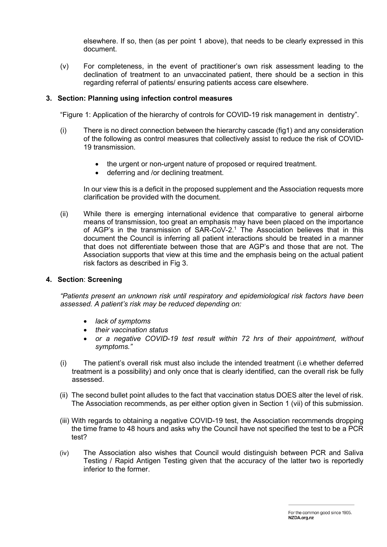elsewhere. If so, then (as per point 1 above), that needs to be clearly expressed in this document.

(v) For completeness, in the event of practitioner's own risk assessment leading to the declination of treatment to an unvaccinated patient, there should be a section in this regarding referral of patients/ ensuring patients access care elsewhere.

### **3. Section: Planning using infection control measures**

"Figure 1: Application of the hierarchy of controls for COVID-19 risk management in dentistry".

- (i) There is no direct connection between the hierarchy cascade (fig1) and any consideration of the following as control measures that collectively assist to reduce the risk of COVID-19 transmission.
	- the urgent or non-urgent nature of proposed or required treatment.
	- deferring and /or declining treatment.

In our view this is a deficit in the proposed supplement and the Association requests more clarification be provided with the document.

(ii) While there is emerging international evidence that comparative to general airborne means of transmission, too great an emphasis may have been placed on the importance of AGP's in the transmission of SAR-CoV-2. <sup>1</sup> The Association believes that in this document the Council is inferring all patient interactions should be treated in a manner that does not differentiate between those that are AGP's and those that are not. The Association supports that view at this time and the emphasis being on the actual patient risk factors as described in Fig 3.

#### **4. Section**: **Screening**

*"Patients present an unknown risk until respiratory and epidemiological risk factors have been assessed. A patient's risk may be reduced depending on:*

- *lack of symptoms*
- *their vaccination status*
- *or a negative COVID-19 test result within 72 hrs of their appointment, without symptoms."*
- (i) The patient's overall risk must also include the intended treatment (i.e whether deferred treatment is a possibility) and only once that is clearly identified, can the overall risk be fully assessed.
- (ii) The second bullet point alludes to the fact that vaccination status DOES alter the level of risk. The Association recommends, as per either option given in Section 1 (vii) of this submission.
- (iii) With regards to obtaining a negative COVID-19 test, the Association recommends dropping the time frame to 48 hours and asks why the Council have not specified the test to be a PCR test?
- (iv) The Association also wishes that Council would distinguish between PCR and Saliva Testing / Rapid Antigen Testing given that the accuracy of the latter two is reportedly inferior to the former.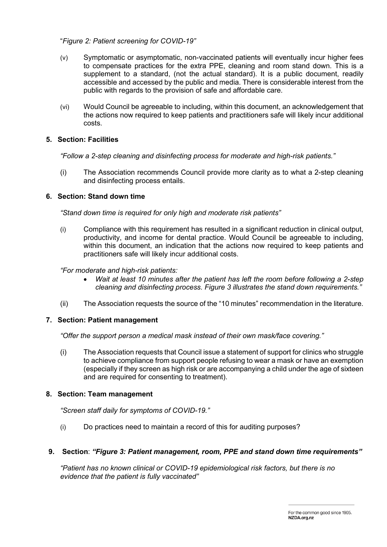## "*Figure 2: Patient screening for COVID-19"*

- (v) Symptomatic or asymptomatic, non-vaccinated patients will eventually incur higher fees to compensate practices for the extra PPE, cleaning and room stand down. This is a supplement to a standard, (not the actual standard). It is a public document, readily accessible and accessed by the public and media. There is considerable interest from the public with regards to the provision of safe and affordable care.
- (vi) Would Council be agreeable to including, within this document, an acknowledgement that the actions now required to keep patients and practitioners safe will likely incur additional costs.

## **5. Section: Facilities**

*"Follow a 2-step cleaning and disinfecting process for moderate and high-risk patients."*

(i) The Association recommends Council provide more clarity as to what a 2-step cleaning and disinfecting process entails.

## **6. Section: Stand down time**

*"Stand down time is required for only high and moderate risk patients"*

(i) Compliance with this requirement has resulted in a significant reduction in clinical output, productivity, and income for dental practice. Would Council be agreeable to including, within this document, an indication that the actions now required to keep patients and practitioners safe will likely incur additional costs.

*"For moderate and high-risk patients:*

- *Wait at least 10 minutes after the patient has left the room before following a 2-step cleaning and disinfecting process. Figure 3 illustrates the stand down requirements."*
- (ii) The Association requests the source of the "10 minutes" recommendation in the literature.

## **7. Section: Patient management**

*"Offer the support person a medical mask instead of their own mask/face covering."*

(i) The Association requests that Council issue a statement of support for clinics who struggle to achieve compliance from support people refusing to wear a mask or have an exemption (especially if they screen as high risk or are accompanying a child under the age of sixteen and are required for consenting to treatment).

## **8. Section: Team management**

*"Screen staff daily for symptoms of COVID-19."*

(i) Do practices need to maintain a record of this for auditing purposes?

## **9. Section**: *"Figure 3: Patient management, room, PPE and stand down time requirements"*

*"Patient has no known clinical or COVID-19 epidemiological risk factors, but there is no evidence that the patient is fully vaccinated"*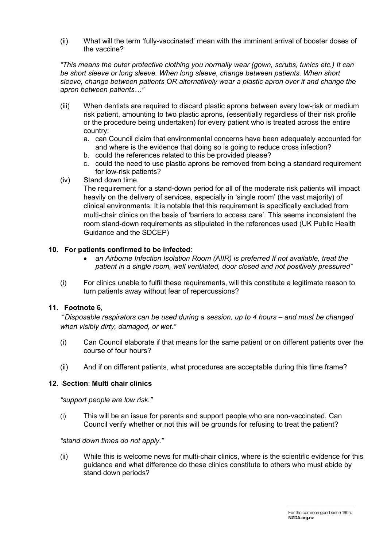(ii) What will the term 'fully-vaccinated' mean with the imminent arrival of booster doses of the vaccine?

*"This means the outer protective clothing you normally wear (gown, scrubs, tunics etc.) It can be short sleeve or long sleeve. When long sleeve, change between patients. When short sleeve, change between patients OR alternatively wear a plastic apron over it and change the apron between patients…"*

- (iii) When dentists are required to discard plastic aprons between every low-risk or medium risk patient, amounting to two plastic aprons, (essentially regardless of their risk profile or the procedure being undertaken) for every patient who is treated across the entire country:
	- a. can Council claim that environmental concerns have been adequately accounted for and where is the evidence that doing so is going to reduce cross infection?
	- b. could the references related to this be provided please?
	- c. could the need to use plastic aprons be removed from being a standard requirement for low-risk patients?
- (iv) Stand down time.

The requirement for a stand-down period for all of the moderate risk patients will impact heavily on the delivery of services, especially in 'single room' (the vast majority) of clinical environments. It is notable that this requirement is specifically excluded from multi-chair clinics on the basis of 'barriers to access care'. This seems inconsistent the room stand-down requirements as stipulated in the references used (UK Public Health Guidance and the SDCEP)

## **10. For patients confirmed to be infected**:

- *an Airborne Infection Isolation Room (AIIR) is preferred If not available, treat the patient in a single room, well ventilated, door closed and not positively pressured"*
- (i) For clinics unable to fulfil these requirements, will this constitute a legitimate reason to turn patients away without fear of repercussions?

# **11. Footnote 6**,

"*Disposable respirators can be used during a session, up to 4 hours – and must be changed when visibly dirty, damaged, or wet."*

- (i) Can Council elaborate if that means for the same patient or on different patients over the course of four hours?
- (ii) And if on different patients, what procedures are acceptable during this time frame?

## **12. Section**: **Multi chair clinics**

## *"support people are low risk."*

(i) This will be an issue for parents and support people who are non-vaccinated. Can Council verify whether or not this will be grounds for refusing to treat the patient?

## *"stand down times do not apply."*

(ii) While this is welcome news for multi-chair clinics, where is the scientific evidence for this guidance and what difference do these clinics constitute to others who must abide by stand down periods?